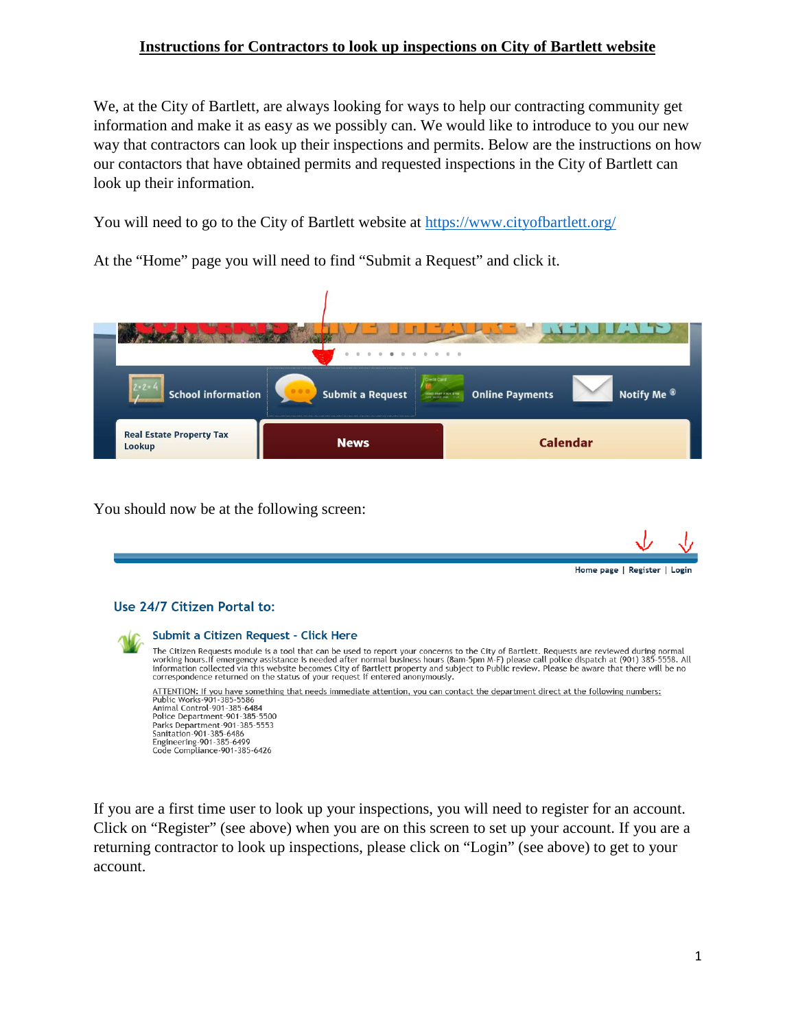## **Instructions for Contractors to look up inspections on City of Bartlett website**

We, at the City of Bartlett, are always looking for ways to help our contracting community get information and make it as easy as we possibly can. We would like to introduce to you our new way that contractors can look up their inspections and permits. Below are the instructions on how our contactors that have obtained permits and requested inspections in the City of Bartlett can look up their information.

You will need to go to the City of Bartlett website at<https://www.cityofbartlett.org/>



At the "Home" page you will need to find "Submit a Request" and click it.

You should now be at the following screen:



If you are a first time user to look up your inspections, you will need to register for an account. Click on "Register" (see above) when you are on this screen to set up your account. If you are a returning contractor to look up inspections, please click on "Login" (see above) to get to your account.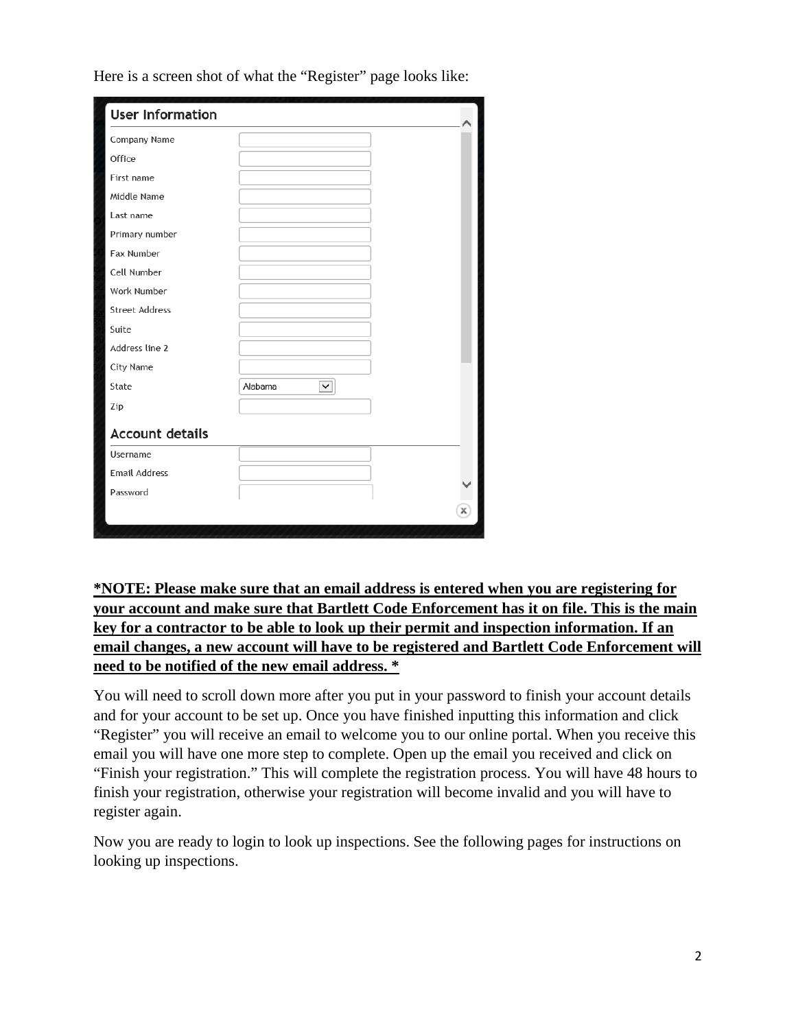| <b>User Information</b> |              |   |
|-------------------------|--------------|---|
| Company Name            |              |   |
| Office                  |              |   |
| First name              |              |   |
| Middle Name             |              |   |
| Last name               |              |   |
| Primary number          |              |   |
| Fax Number              |              |   |
| Cell Number             |              |   |
| Work Number             |              |   |
| <b>Street Address</b>   |              |   |
| Suite                   |              |   |
| Address line 2          |              |   |
| City Name               |              |   |
| State                   | Alabama<br>✓ |   |
| Zip                     |              |   |
| <b>Account details</b>  |              |   |
| Username                |              |   |
| <b>Email Address</b>    |              |   |
| Password                |              |   |
|                         |              | x |

Here is a screen shot of what the "Register" page looks like:

**\*NOTE: Please make sure that an email address is entered when you are registering for your account and make sure that Bartlett Code Enforcement has it on file. This is the main key for a contractor to be able to look up their permit and inspection information. If an email changes, a new account will have to be registered and Bartlett Code Enforcement will need to be notified of the new email address. \***

You will need to scroll down more after you put in your password to finish your account details and for your account to be set up. Once you have finished inputting this information and click "Register" you will receive an email to welcome you to our online portal. When you receive this email you will have one more step to complete. Open up the email you received and click on "Finish your registration." This will complete the registration process. You will have 48 hours to finish your registration, otherwise your registration will become invalid and you will have to register again.

Now you are ready to login to look up inspections. See the following pages for instructions on looking up inspections.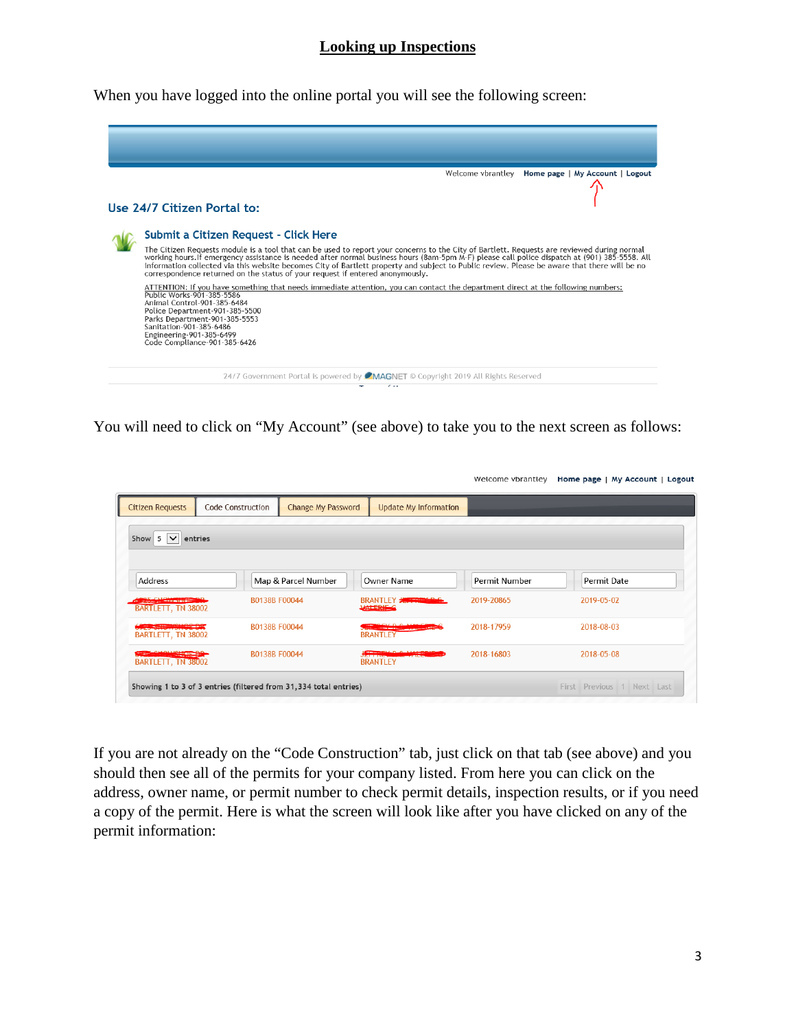## **Looking up Inspections**

When you have logged into the online portal you will see the following screen:

| Welcome vbrantley  Home page   My Account   Logout                                                                                                                                                                                                                                                                                                                                                                                                                                                                           |
|------------------------------------------------------------------------------------------------------------------------------------------------------------------------------------------------------------------------------------------------------------------------------------------------------------------------------------------------------------------------------------------------------------------------------------------------------------------------------------------------------------------------------|
| Use 24/7 Citizen Portal to:                                                                                                                                                                                                                                                                                                                                                                                                                                                                                                  |
| Submit a Citizen Request - Click Here                                                                                                                                                                                                                                                                                                                                                                                                                                                                                        |
| The Citizen Requests module is a tool that can be used to report your concerns to the City of Bartlett. Requests are reviewed during normal<br>working hours.If emergency assistance is needed after normal business hours (8am-5pm M-F) please call police dispatch at (901) 385-5558. All<br>information collected via this website becomes City of Bartlett property and subject to Public review. Please be aware that there will be no<br>correspondence returned on the status of your request if entered anonymously. |
| ATTENTION: If you have something that needs immediate attention, you can contact the department direct at the following numbers:<br>Public Works-901-385-5586<br>Animal Control-901-385-6484<br>Police Department-901-385-5500<br>Parks Department-901-385-5553<br>Sanitation-901-385-6486<br>Engineering-901-385-6499<br>Code Compliance-901-385-6426                                                                                                                                                                       |
| 24/7 Government Portal is powered by <b>CMAGNET</b> © Copyright 2019 All Rights Reserved<br>$\sim$ $\sim$                                                                                                                                                                                                                                                                                                                                                                                                                    |

You will need to click on "My Account" (see above) to take you to the next screen as follows:

| <b>Citizen Requests</b>                              | <b>Code Construction</b> | <b>Change My Password</b> | <b>Update My Information</b>         |               |             |
|------------------------------------------------------|--------------------------|---------------------------|--------------------------------------|---------------|-------------|
|                                                      |                          |                           |                                      |               |             |
| Show $5 \vee$<br>entries                             |                          |                           |                                      |               |             |
|                                                      |                          |                           |                                      |               |             |
| Address                                              |                          | Map & Parcel Number       | Owner Name                           | Permit Number | Permit Date |
| <b>COLL CHAMPITTER</b>                               |                          | B0138B F00044             | BRANTLEY <b>JACKET AND C</b>         | 2019-20865    | 2019-05-02  |
| BARTLETT, TN 38002                                   |                          |                           | VALERING                             |               |             |
|                                                      |                          |                           | <u>en de la companya de la compa</u> | 2018-17959    | 2018-08-03  |
| <b>SEAST THE REAL PROPERTY</b><br>BARTLETT, TN 38002 | B0138B F00044            |                           | <b>BRANTLEY</b>                      |               |             |

If you are not already on the "Code Construction" tab, just click on that tab (see above) and you should then see all of the permits for your company listed. From here you can click on the address, owner name, or permit number to check permit details, inspection results, or if you need a copy of the permit. Here is what the screen will look like after you have clicked on any of the permit information: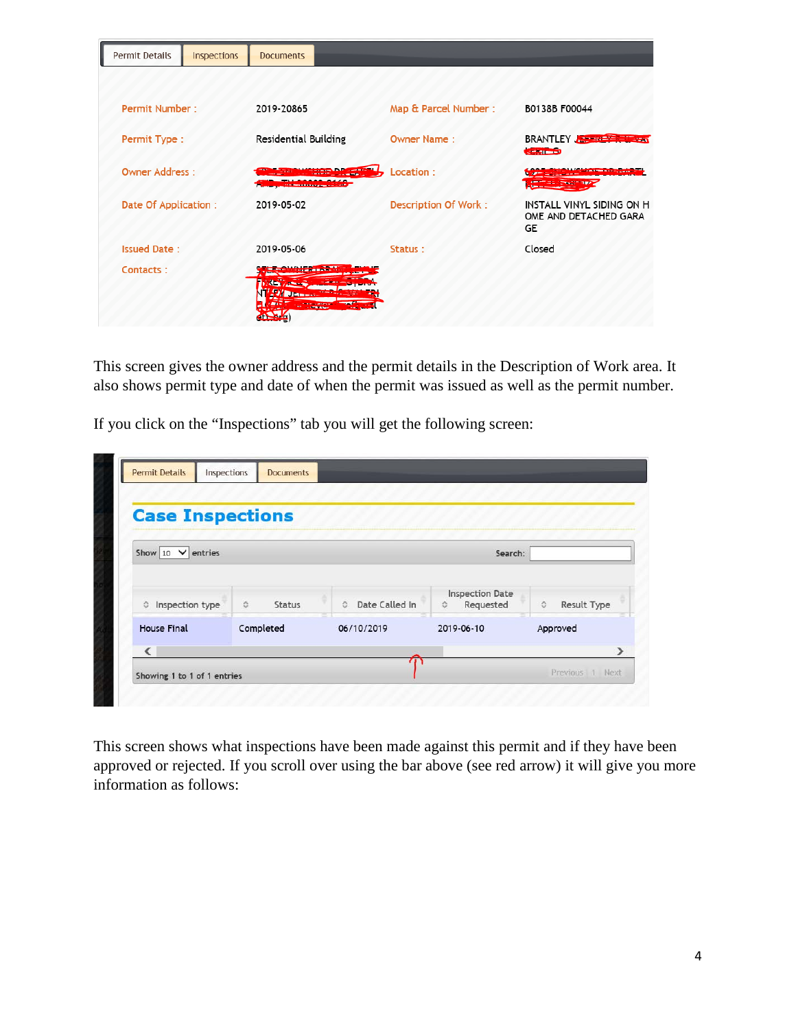| Permit Details        | Inspections | <b>Documents</b>                           |                                    |                             |                                                          |
|-----------------------|-------------|--------------------------------------------|------------------------------------|-----------------------------|----------------------------------------------------------|
|                       |             |                                            |                                    |                             |                                                          |
| Permit Number:        |             | 2019-20865                                 |                                    | Map & Parcel Number:        | B0138B F00044                                            |
| Permit Type:          |             | <b>Residential Building</b>                |                                    | <b>Owner Name:</b>          | BRANTLEY THE TANK THE TANK<br><b>CENTER</b>              |
| <b>Owner Address:</b> |             | <b>CONTINUES IN EXPERIMENTAL CONTINUES</b> | <b><i><u>REAL PROPERTY</u></i></b> | Location:                   | <b>CONTRACTOR</b> CONTRACTOR                             |
| Date Of Application:  |             | 2019-05-02                                 |                                    | <b>Description Of Work:</b> | INSTALL VINYL SIDING ON H<br>OME AND DETACHED GARA<br>GE |
| <b>Issued Date:</b>   |             | 2019-05-06                                 |                                    | Status:                     | Closed                                                   |
| Contacts:             |             | <b>Didente</b><br><b><i>SALEMANA</i></b>   |                                    |                             |                                                          |

This screen gives the owner address and the permit details in the Description of Work area. It also shows permit type and date of when the permit was issued as well as the permit number.

If you click on the "Inspections" tab you will get the following screen:

| <b>Case Inspections</b>           |                                     |                                  |                                          |                  |
|-----------------------------------|-------------------------------------|----------------------------------|------------------------------------------|------------------|
| Show $10 \nightharpoonup$ entries |                                     |                                  | Search:                                  |                  |
| to Inspection type                | $\hat{\mathbf{v}}$<br><b>Status</b> | Date Called In<br>$\ddot{\circ}$ | <b>Inspection Date</b><br>Requested<br>≎ | Result Type<br>≎ |
| <b>House Final</b>                | Completed                           | 06/10/2019                       | 2019-06-10                               | Approved         |

This screen shows what inspections have been made against this permit and if they have been approved or rejected. If you scroll over using the bar above (see red arrow) it will give you more information as follows: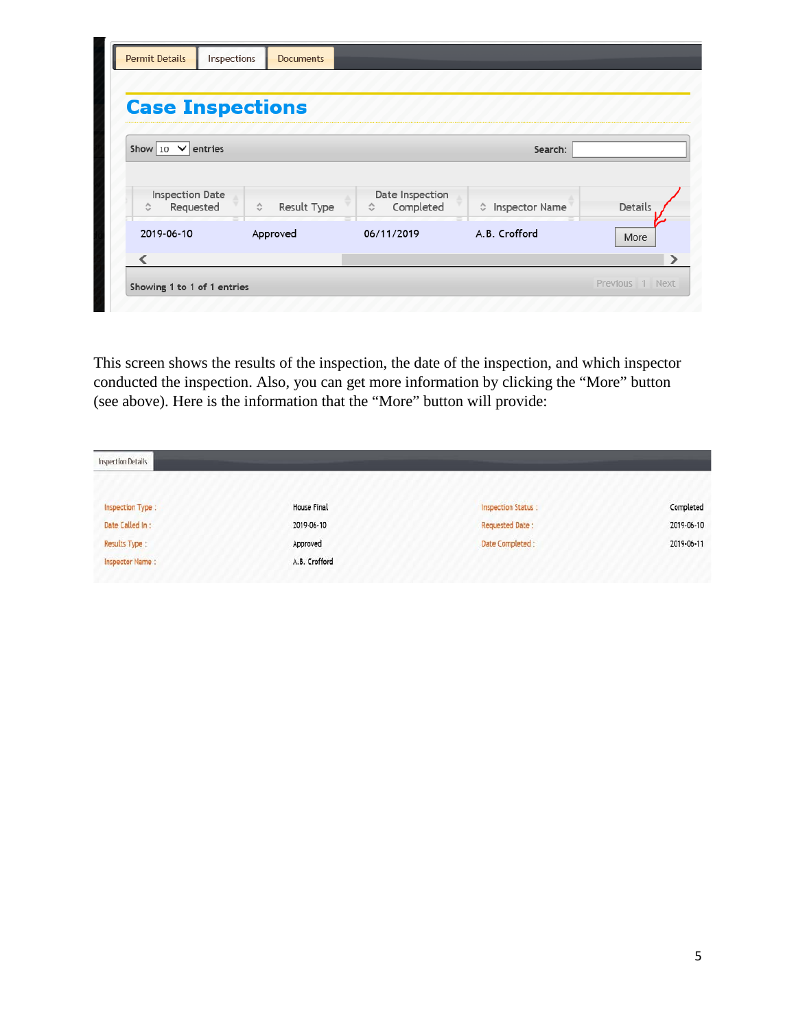| <b>Case Inspections</b>   |                  |                 |                       |         |
|---------------------------|------------------|-----------------|-----------------------|---------|
| Show 10 $\vee$<br>entries |                  |                 | Search:               |         |
| <b>Inspection Date</b>    |                  | Date Inspection |                       |         |
| Requested<br>≎            | ≎<br>Result Type | Completed<br>≎  | # Inspector Name<br>⋍ | Details |
| 2019-06-10                | Approved         | 06/11/2019      | A.B. Crofford         | More    |
| ∢                         |                  |                 |                       |         |

This screen shows the results of the inspection, the date of the inspection, and which inspector conducted the inspection. Also, you can get more information by clicking the "More" button (see above). Here is the information that the "More" button will provide:

| Inspection Details   |               |                           |            |  |
|----------------------|---------------|---------------------------|------------|--|
| Inspection Type :    | House Final   | <b>Inspection Status:</b> | Completed  |  |
| Date Called In:      | 2019-06-10    | <b>Requested Date:</b>    | 2019-06-10 |  |
| <b>Results Type:</b> | Approved      | Date Completed :          | 2019-06-11 |  |
| Inspector Name:      | A.B. Crofford |                           |            |  |
|                      |               |                           |            |  |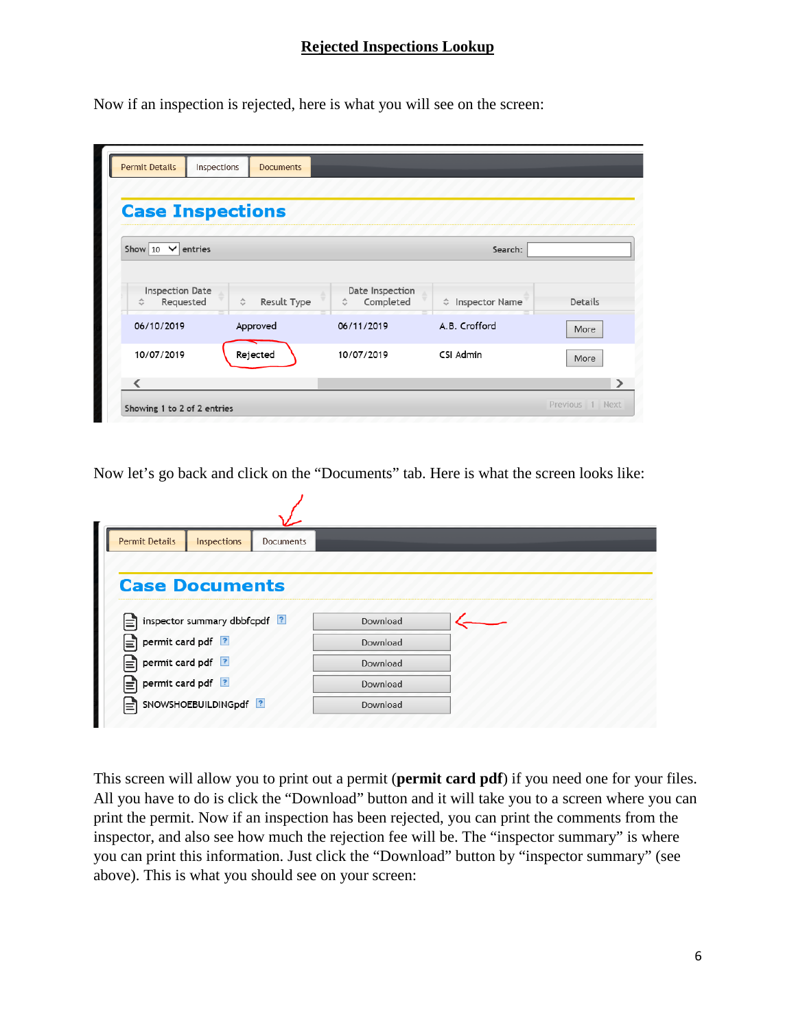## **Rejected Inspections Lookup**

Now if an inspection is rejected, here is what you will see on the screen:

| <b>Case Inspections</b>                  |                                   |                                   |                  |         |
|------------------------------------------|-----------------------------------|-----------------------------------|------------------|---------|
| Show $10$<br>$\checkmark$<br>entries     |                                   |                                   | Search:          |         |
| <b>Inspection Date</b><br>Requested<br>≎ | $\hat{\mathbf{v}}$<br>Result Type | Date Inspection<br>Completed<br>≎ | ☆ Inspector Name | Details |
| 06/10/2019                               | Approved                          | 06/11/2019                        | A.B. Crofford    | More    |
|                                          |                                   | 10/07/2019                        | CSI Admin        |         |

Now let's go back and click on the "Documents" tab. Here is what the screen looks like:

| <b>Permit Details</b><br>Inspections | <b>Documents</b> |          |
|--------------------------------------|------------------|----------|
|                                      |                  |          |
| <b>Case Documents</b>                |                  |          |
|                                      |                  |          |
| inspector summary dbbfcpdf ?<br> ≡   |                  | Download |
|                                      |                  |          |
| permit card pdf ?<br>ι≡ੋ             |                  | Download |
| permit card pdf ?<br>ΙΞ              |                  | Download |
| permit card pdf ?<br>⋿               |                  | Download |

This screen will allow you to print out a permit (**permit card pdf**) if you need one for your files. All you have to do is click the "Download" button and it will take you to a screen where you can print the permit. Now if an inspection has been rejected, you can print the comments from the inspector, and also see how much the rejection fee will be. The "inspector summary" is where you can print this information. Just click the "Download" button by "inspector summary" (see above). This is what you should see on your screen: